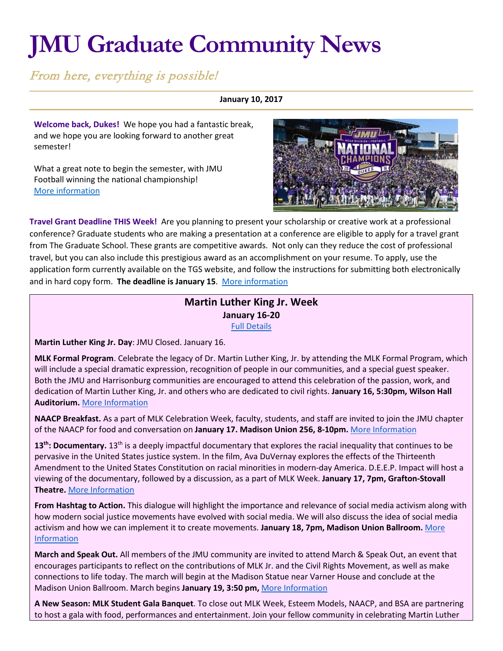# **JMU Graduate Community News**

From here, everything is possible!

## **January 10, 2017**

**Welcome back, Dukes!** We hope you had a fantastic break, and we hope you are looking forward to another great semester!

What a great note to begin the semester, with JMU Football winning the national championship! [More information](http://jmusports.com/)



**Travel Grant Deadline THIS Week!** Are you planning to present your scholarship or creative work at a professional conference? Graduate students who are making a presentation at a conference are eligible to apply for a travel grant from The Graduate School. These grants are competitive awards. Not only can they reduce the cost of professional travel, but you can also include this prestigious award as an accomplishment on your resume. To apply, use the application form currently available on the TGS website, and follow the instructions for submitting both electronically and in hard copy form. **The deadline is January 15**. [More information](http://www.jmu.edu/grad/current-students/awards/travel-grants.shtml)

# **Martin Luther King Jr. Week January 16-20** [Full Details](https://www.jmu.edu/multicultural/index.shtml)

**Martin Luther King Jr. Day**: JMU Closed. January 16.

**MLK Formal Program**. Celebrate the legacy of Dr. Martin Luther King, Jr. by attending the MLK Formal Program, which will include a special dramatic expression, recognition of people in our communities, and a special guest speaker. Both the JMU and Harrisonburg communities are encouraged to attend this celebration of the passion, work, and dedication of Martin Luther King, Jr. and others who are dedicated to civil rights. **January 16, 5:30pm, Wilson Hall Auditorium.** [More Information](https://www.jmu.edu/events/multicultural/2017/01-16-formal-program.shtml)

**NAACP Breakfast.** As a part of MLK Celebration Week, faculty, students, and staff are invited to join the JMU chapter of the NAACP for food and conversation on **January 17. Madison Union 256, 8-10pm.** [More Information](https://www.jmu.edu/events/multicultural/2017/01-17-NAACP-breakfast.shtml)

13<sup>th</sup>: Documentary. 13<sup>th</sup> is a deeply impactful documentary that explores the racial inequality that continues to be pervasive in the United States justice system. In the film, Ava DuVernay explores the effects of the Thirteenth Amendment to the United States Constitution on racial minorities in modern-day America. D.E.E.P. Impact will host a viewing of the documentary, followed by a discussion, as a part of MLK Week. **January 17, 7pm, Grafton-Stovall Theatre.** [More Information](https://www.jmu.edu/events/multicultural/2017/01-17-DEEP-impact-film-13th.shtml)

**From Hashtag to Action.** This dialogue will highlight the importance and relevance of social media activism along with how modern social justice movements have evolved with social media. We will also discuss the idea of social media activism and how we can implement it to create movements. **January 18, 7pm, Madison Union Ballroom.** [More](https://www.jmu.edu/events/multicultural/2017/01-18-DEEP-impact-dialogue-hashtag-to-action.shtml)  [Information](https://www.jmu.edu/events/multicultural/2017/01-18-DEEP-impact-dialogue-hashtag-to-action.shtml)

**March and Speak Out.** All members of the JMU community are invited to attend March & Speak Out, an event that encourages participants to reflect on the contributions of MLK Jr. and the Civil Rights Movement, as well as make connections to life today. The march will begin at the Madison Statue near Varner House and conclude at the Madison Union Ballroom. March begins **January 19, 3:50 pm,** [More Information](https://www.jmu.edu/events/multicultural/2017/01-19-MLK-march.shtml)

**A New Season: MLK Student Gala Banquet**. To close out MLK Week, Esteem Models, NAACP, and BSA are partnering to host a gala with food, performances and entertainment. Join your fellow community in celebrating Martin Luther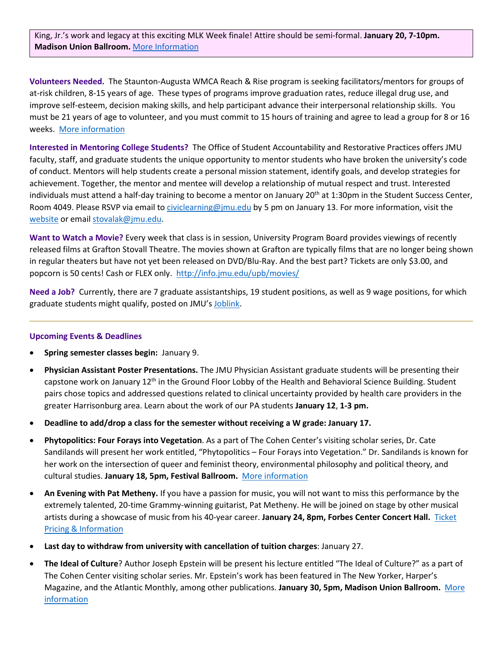King, Jr.'s work and legacy at this exciting MLK Week finale! Attire should be semi-formal. **January 20, 7-10pm. Madison Union Ballroom.** [More Information](https://www.jmu.edu/events/multicultural/2017/01-20-MLK-gala.shtml)

**Volunteers Needed.** The Staunton-Augusta WMCA Reach & Rise program is seeking facilitators/mentors for groups of at-risk children, 8-15 years of age. These types of programs improve graduation rates, reduce illegal drug use, and improve self-esteem, decision making skills, and help participant advance their interpersonal relationship skills. You must be 21 years of age to volunteer, and you must commit to 15 hours of training and agree to lead a group for 8 or 16 weeks. [More information](http://www.saymca.org/reach-rise-mentoring/)

**Interested in Mentoring College Students?** The Office of Student Accountability and Restorative Practices offers JMU faculty, staff, and graduate students the unique opportunity to mentor students who have broken the university's code of conduct. Mentors will help students create a personal mission statement, identify goals, and develop strategies for achievement. Together, the mentor and mentee will develop a relationship of mutual respect and trust. Interested individuals must attend a half-day training to become a mentor on January  $20<sup>th</sup>$  at 1:30pm in the Student Success Center, Room 4049. Please RSVP via email to [civiclearning@jmu.edu](mailto:civiclearning@jmu.edu) by 5 pm on January 13. For more information, visit the [website](http://www.jmu.edu/osarp/civiclearning/mentor/index.shtml) or email [stovalak@jmu.edu.](mailto:stovalak@jmu.edu)

**Want to Watch a Movie?** Every week that class is in session, University Program Board provides viewings of recently released films at Grafton Stovall Theatre. The movies shown at Grafton are typically films that are no longer being shown in regular theaters but have not yet been released on DVD/Blu-Ray. And the best part? Tickets are only \$3.00, and popcorn is 50 cents! Cash or FLEX only.<http://info.jmu.edu/upb/movies/>

**Need a Job?** Currently, there are 7 graduate assistantships, 19 student positions, as well as 9 wage positions, for which graduate students might qualify, posted on JMU's [Joblink.](https://joblink.jmu.edu/applicants/jsp/shared/frameset/Frameset.jsp?time=1472213991546)

#### **Upcoming Events & Deadlines**

- **Spring semester classes begin:** January 9.
- **Physician Assistant Poster Presentations.** The JMU Physician Assistant graduate students will be presenting their capstone work on January 12th in the Ground Floor Lobby of the Health and Behavioral Science Building. Student pairs chose topics and addressed questions related to clinical uncertainty provided by health care providers in the greater Harrisonburg area. Learn about the work of our PA students **January 12**, **1-3 pm.**
- **Deadline to add/drop a class for the semester without receiving a W grade: January 17.**
- **Phytopolitics: Four Forays into Vegetation**. As a part of The Cohen Center's visiting scholar series, Dr. Cate Sandilands will present her work entitled, "Phytopolitics – Four Forays into Vegetation." Dr. Sandilands is known for her work on the intersection of queer and feminist theory, environmental philosophy and political theory, and cultural studies. **January 18, 5pm, Festival Ballroom.** [More information](http://www.jmu.edu/events/cohencenter/2017/1-18-sandilands.shtml)
- **An Evening with Pat Metheny.** If you have a passion for music, you will not want to miss this performance by the extremely talented, 20-time Grammy-winning guitarist, Pat Metheny. He will be joined on stage by other musical artists during a showcase of music from his 40-year career. **January 24, 8pm, Forbes Center Concert Hall.** [Ticket](http://www.jmu.edu/forbescenter/events/2017/01/24-an-evening-with-pat-metheny.shtml)  [Pricing & Information](http://www.jmu.edu/forbescenter/events/2017/01/24-an-evening-with-pat-metheny.shtml)
- **Last day to withdraw from university with cancellation of tuition charges**: January 27.
- **The Ideal of Culture**? Author Joseph Epstein will be present his lecture entitled "The Ideal of Culture?" as a part of The Cohen Center visiting scholar series. Mr. Epstein's work has been featured in The New Yorker, Harper's Magazine, and the Atlantic Monthly, among other publications. **January 30, 5pm, Madison Union Ballroom.** [More](http://www.jmu.edu/events/cohencenter/2017/1-30-epstein.shtml)  **[information](http://www.jmu.edu/events/cohencenter/2017/1-30-epstein.shtml)**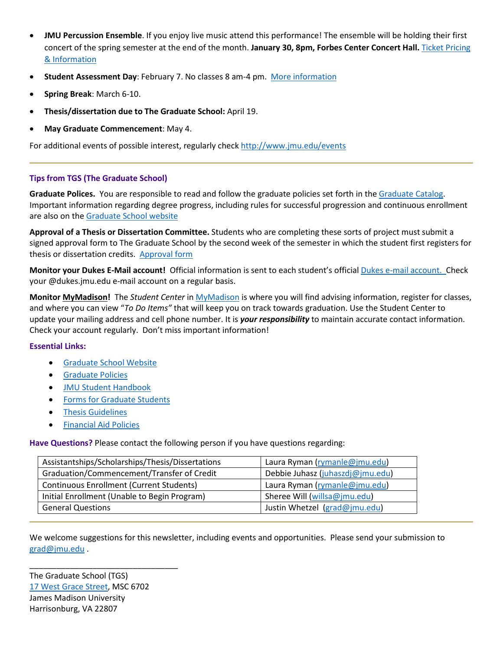- **JMU Percussion Ensemble**. If you enjoy live music attend this performance! The ensemble will be holding their first concert of the spring semester at the end of the month. **January 30, 8pm, Forbes Center Concert Hall.** [Ticket Pricing](http://www.jmu.edu/forbescenter/events/2017/01/30-percussion-ensemble.shtml)  [& Information](http://www.jmu.edu/forbescenter/events/2017/01/30-percussion-ensemble.shtml)
- **Student Assessment Day**: February 7. No classes 8 am-4 pm. [More information](http://www.jmu.edu/events/registrar/2017/02/7-studentassessment.shtml)
- **Spring Break**: March 6-10.
- **Thesis/dissertation due to The Graduate School:** April 19.
- **May Graduate Commencement**: May 4.

For additional events of possible interest, regularly check<http://www.jmu.edu/events>

## **Tips from TGS (The Graduate School)**

**Graduate Polices.** You are responsible to read and follow the graduate policies set forth in th[e Graduate Catalog.](http://jmu.edu/catalog) Important information regarding degree progress, including rules for successful progression and continuous enrollment are also on the [Graduate School website](http://www.jmu.edu/grad/current-students/degree-progress/beginning.shtml)

**Approval of a Thesis or Dissertation Committee.** Students who are completing these sorts of project must submit a signed approval form to The Graduate School by the second week of the semester in which the student first registers for thesis or dissertation credits. [Approval form](http://www.jmu.edu/grad/_files/CommitteeApprovalForm2014-15.pdf)

**Monitor your Dukes E-Mail account!** Official information is sent to each student's officia[l Dukes e-mail account.](http://www.jmu.edu/computing/helpdesk/selfhelp/DukesEmail.shtml) Check your @dukes.jmu.edu e-mail account on a regular basis.

**Monitor [MyMadison!](http://mymadison.jmu.edu/)** The *Student Center* in [MyMadison](http://mymadison.jmu.edu/) is where you will find advising information, register for classes, and where you can view "*To Do Items"* that will keep you on track towards graduation. Use the Student Center to update your mailing address and cell phone number. It is *your responsibility* to maintain accurate contact information. Check your account regularly. Don't miss important information!

#### **Essential Links:**

- [Graduate School Website](http://www.jmu.edu/grad)
- [Graduate Policies](http://www.jmu.edu/catalog/index.shtml)
- [JMU Student Handbook](https://www.jmu.edu/osarp/handbook/index.shtml)
- [Forms for Graduate Students](http://www.jmu.edu/grad/current-students/graduate-forms.shtml)
- [Thesis Guidelines](http://www.jmu.edu/grad/current-students/thesis-dissertation/information.shtml)
- [Financial Aid Policies](http://www.jmu.edu/finaid/sap.shtml)

**Have Questions?** Please contact the following person if you have questions regarding:

| Assistantships/Scholarships/Thesis/Dissertations | Laura Ryman (rymanle@jmu.edu)    |
|--------------------------------------------------|----------------------------------|
| Graduation/Commencement/Transfer of Credit       | Debbie Juhasz (juhaszdj@jmu.edu) |
| <b>Continuous Enrollment (Current Students)</b>  | Laura Ryman (rymanle@jmu.edu)    |
| Initial Enrollment (Unable to Begin Program)     | Sheree Will (willsa@jmu.edu)     |
| <b>General Questions</b>                         | Justin Whetzel (grad@jmu.edu)    |

We welcome suggestions for this newsletter, including events and opportunities. Please send your submission to [grad@jmu.edu](mailto:grad@jmu.edu) .

The Graduate School (TGS) [17 West Grace Street,](http://www.jmu.edu/directory/buildings/GSH.shtml) MSC 6702 James Madison University Harrisonburg, VA 22807

\_\_\_\_\_\_\_\_\_\_\_\_\_\_\_\_\_\_\_\_\_\_\_\_\_\_\_\_\_\_\_\_\_